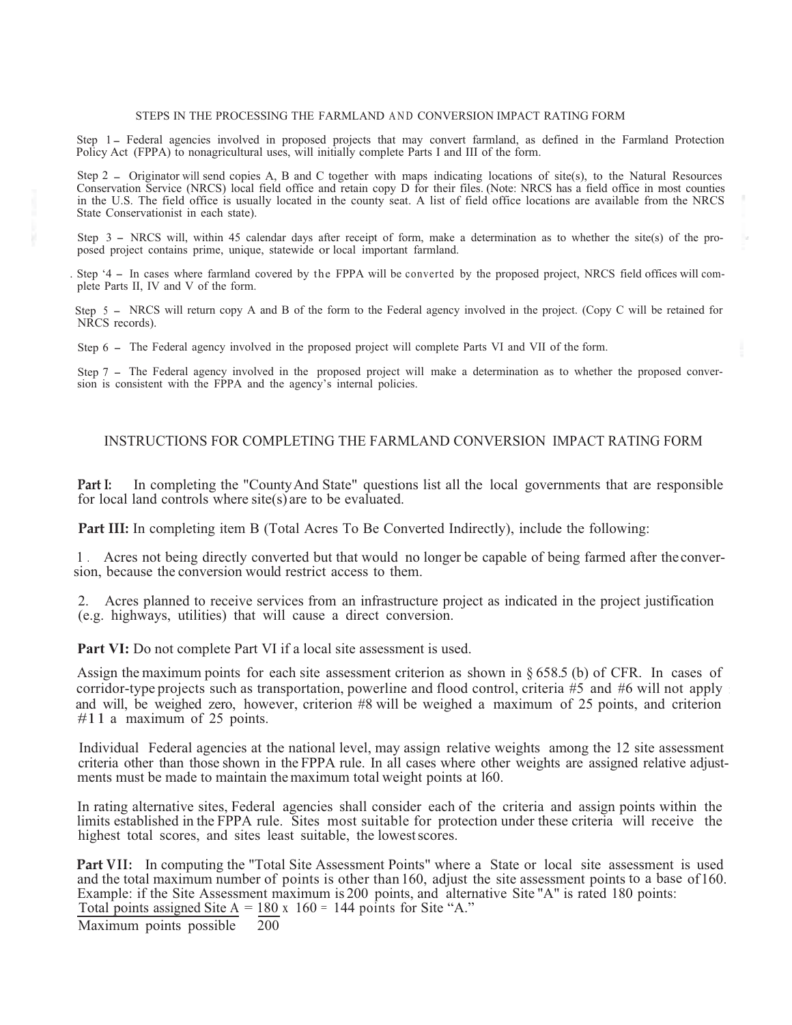#### STEPS IN THE PROCESSING THE FARMLAND AND CONVERSION IMPACT RATING FORM

Step 1 - Federal agencies involved in proposed projects that may convert farmland, as defined in the Farmland Protection Policy Act (FPPA) to nonagricultural uses, will initially complete Parts I and III of the form.

Step 2 - Originator will send copies A, B and C together with maps indicating locations of site(s), to the Natural Resources Conservation Service (NRCS) local field office and retain copy D for their files. (Note: NRCS has a field office in most counties in the U.S. The field office is usually located in the county seat. A list of field office locations are available from the NRCS State Conservationist in each state).

Step 3 - NRCS will, within 45 calendar days after receipt of form, make a determination as to whether the site(s) of the proposed project contains prime, unique, statewide or local important farmland.

. Step '4 - In cases where farmland covered by the FPPA will be converted by the proposed project, NRCS field offices will complete Parts II, IV and V of the form.

 Step 5 - NRCS will return copy A and B of the form to the Federal agency involved in the project. (Copy C will be retained for NRCS records).

Step 6 - The Federal agency involved in the proposed project will complete Parts VI and VII of the form.

Step 7 - The Federal agency involved in the proposed project will make a determination as to whether the proposed conversion is consistent with the FPPA and the agency's internal policies.

# INSTRUCTIONS FOR COMPLETING THE FARMLAND CONVERSION IMPACT RATING FORM

**Part I:** In completing the "County And State" questions list all the local governments that are responsible for local land controls where site(s) are to be evaluated.

**Part III:** In completing item B (Total Acres To Be Converted Indirectly), include the following:

 1 . Acres not being directly converted but that would no longer be capable of being farmed after the conver sion, because the conversion would restrict access to them.

2. Acres planned to receive services from an infrastructure project as indicated in the project justification (e.g. highways, utilities) that will cause a direct conversion.

**Part VI:** Do not complete Part VI if a local site assessment is used.

Assign the maximum points for each site assessment criterion as shown in § 658.5 (b) of CFR. In cases of and will, be weighed zero, however, criterion #8 will be weighed a maximum of 25 points, and criterion #11 a maximum of 25 points. corridor-type projects such as transportation, powerline and flood control, criteria #5 and #6 will not apply

Individual Federal agencies at the national level, may assign relative weights among the 12 site assessment criteria other than those shown in the FPPA rule. In all cases where other weights are assigned relative adjustments must be made to maintain the maximum total weight points at l60.

In rating alternative sites, Federal agencies shall consider each of the criteria and assign points within the limits established in the FPPA rule. Sites most suitable for protection under these criteria will receive the highest total scores, and sites least suitable, the lowestscores.

**Part VII:** In computing the "Total Site Assessment Points" where a State or local site assessment is used and the total maximum number of points is other than 160, adjust the site assessment points to a base of 160. Example: if the Site Assessment maximum is 200 points, and alternative Site "A" is rated 180 points: Total points assigned Site  $A = 180 \times 160 = 144$  points for Site "A."

 200 Maximum points possible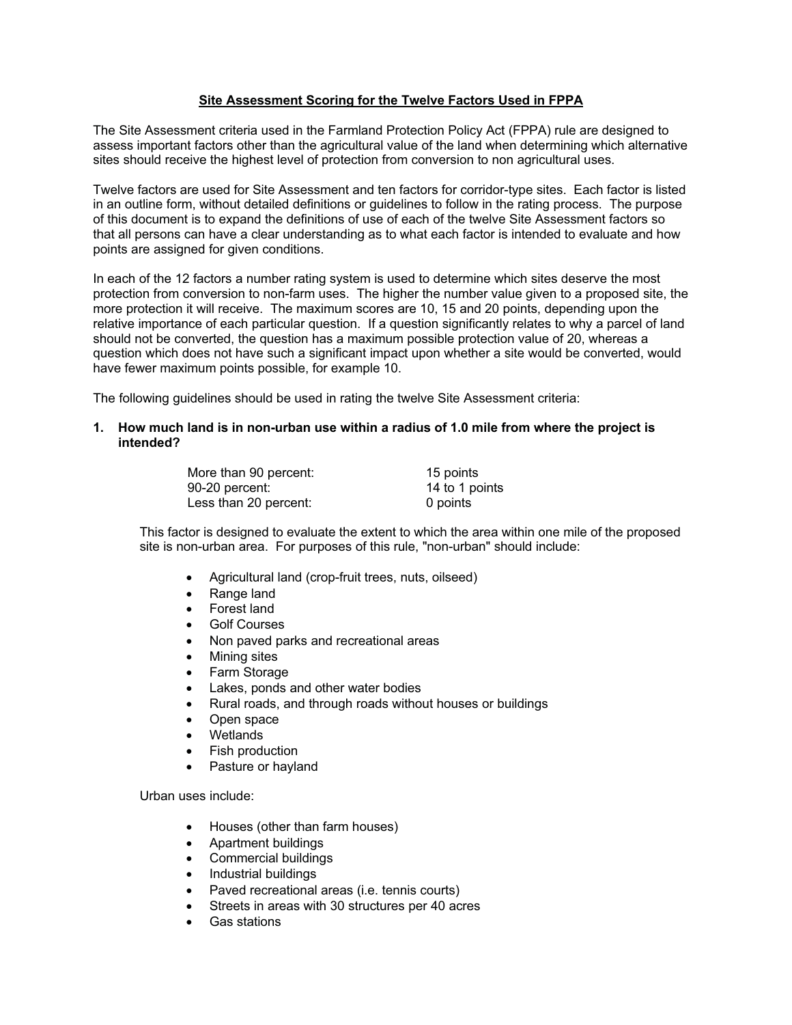# **Site Assessment Scoring for the Twelve Factors Used in FPPA**

The Site Assessment criteria used in the Farmland Protection Policy Act (FPPA) rule are designed to assess important factors other than the agricultural value of the land when determining which alternative sites should receive the highest level of protection from conversion to non agricultural uses.

Twelve factors are used for Site Assessment and ten factors for corridor-type sites. Each factor is listed in an outline form, without detailed definitions or guidelines to follow in the rating process. The purpose of this document is to expand the definitions of use of each of the twelve Site Assessment factors so that all persons can have a clear understanding as to what each factor is intended to evaluate and how points are assigned for given conditions.

In each of the 12 factors a number rating system is used to determine which sites deserve the most protection from conversion to non-farm uses. The higher the number value given to a proposed site, the more protection it will receive. The maximum scores are 10, 15 and 20 points, depending upon the relative importance of each particular question. If a question significantly relates to why a parcel of land should not be converted, the question has a maximum possible protection value of 20, whereas a question which does not have such a significant impact upon whether a site would be converted, would have fewer maximum points possible, for example 10.

The following guidelines should be used in rating the twelve Site Assessment criteria:

# **1. How much land is in non-urban use within a radius of 1.0 mile from where the project is intended?**

| More than 90 percent: | 15 points      |
|-----------------------|----------------|
| 90-20 percent:        | 14 to 1 points |
| Less than 20 percent: | 0 points       |

This factor is designed to evaluate the extent to which the area within one mile of the proposed site is non-urban area. For purposes of this rule, "non-urban" should include:

- Agricultural land (crop-fruit trees, nuts, oilseed)
- Range land
- Forest land
- Golf Courses
- Non paved parks and recreational areas
- Mining sites
- Farm Storage
- Lakes, ponds and other water bodies
- Rural roads, and through roads without houses or buildings
- Open space
- **Wetlands**
- Fish production
- Pasture or hayland

Urban uses include:

- Houses (other than farm houses)
- Apartment buildings
- Commercial buildings
- Industrial buildings
- Paved recreational areas (i.e. tennis courts)
- Streets in areas with 30 structures per 40 acres
- Gas stations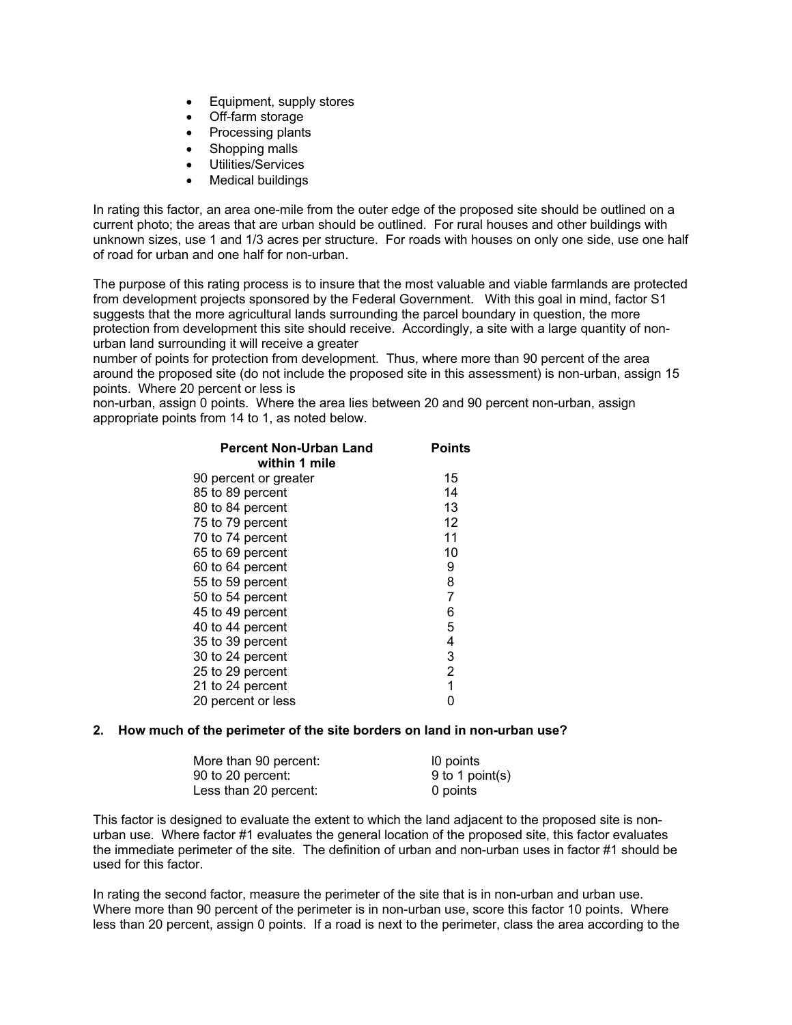- Equipment, supply stores
- Off-farm storage
- Processing plants
- Shopping malls
- Utilities/Services
- Medical buildings

In rating this factor, an area one-mile from the outer edge of the proposed site should be outlined on a current photo; the areas that are urban should be outlined. For rural houses and other buildings with unknown sizes, use 1 and 1/3 acres per structure. For roads with houses on only one side, use one half of road for urban and one half for non-urban.

The purpose of this rating process is to insure that the most valuable and viable farmlands are protected from development projects sponsored by the Federal Government. With this goal in mind, factor S1 suggests that the more agricultural lands surrounding the parcel boundary in question, the more protection from development this site should receive. Accordingly, a site with a large quantity of nonurban land surrounding it will receive a greater

number of points for protection from development. Thus, where more than 90 percent of the area around the proposed site (do not include the proposed site in this assessment) is non-urban, assign 15 points. Where 20 percent or less is

non-urban, assign 0 points. Where the area lies between 20 and 90 percent non-urban, assign appropriate points from 14 to 1, as noted below.

| <b>Percent Non-Urban Land</b> | Points         |
|-------------------------------|----------------|
| within 1 mile                 |                |
| 90 percent or greater         | 15             |
| 85 to 89 percent              | 14             |
| 80 to 84 percent              | 13             |
| 75 to 79 percent              | 12             |
| 70 to 74 percent              | 11             |
| 65 to 69 percent              | 10             |
| 60 to 64 percent              | 9              |
| 55 to 59 percent              | 8              |
| 50 to 54 percent              | $\overline{7}$ |
| 45 to 49 percent              | 6              |
| 40 to 44 percent              | 5              |
| 35 to 39 percent              | 4              |
| 30 to 24 percent              | 3              |
| 25 to 29 percent              | $\overline{2}$ |
| 21 to 24 percent              | 1              |
| 20 percent or less            | 0              |
|                               |                |

# **2. How much of the perimeter of the site borders on land in non-urban use?**

| More than 90 percent: | 10 points       |
|-----------------------|-----------------|
| 90 to 20 percent:     | 9 to 1 point(s) |
| Less than 20 percent: | 0 points        |

This factor is designed to evaluate the extent to which the land adjacent to the proposed site is nonurban use. Where factor #1 evaluates the general location of the proposed site, this factor evaluates the immediate perimeter of the site. The definition of urban and non-urban uses in factor #1 should be used for this factor.

In rating the second factor, measure the perimeter of the site that is in non-urban and urban use. Where more than 90 percent of the perimeter is in non-urban use, score this factor 10 points. Where less than 20 percent, assign 0 points. If a road is next to the perimeter, class the area according to the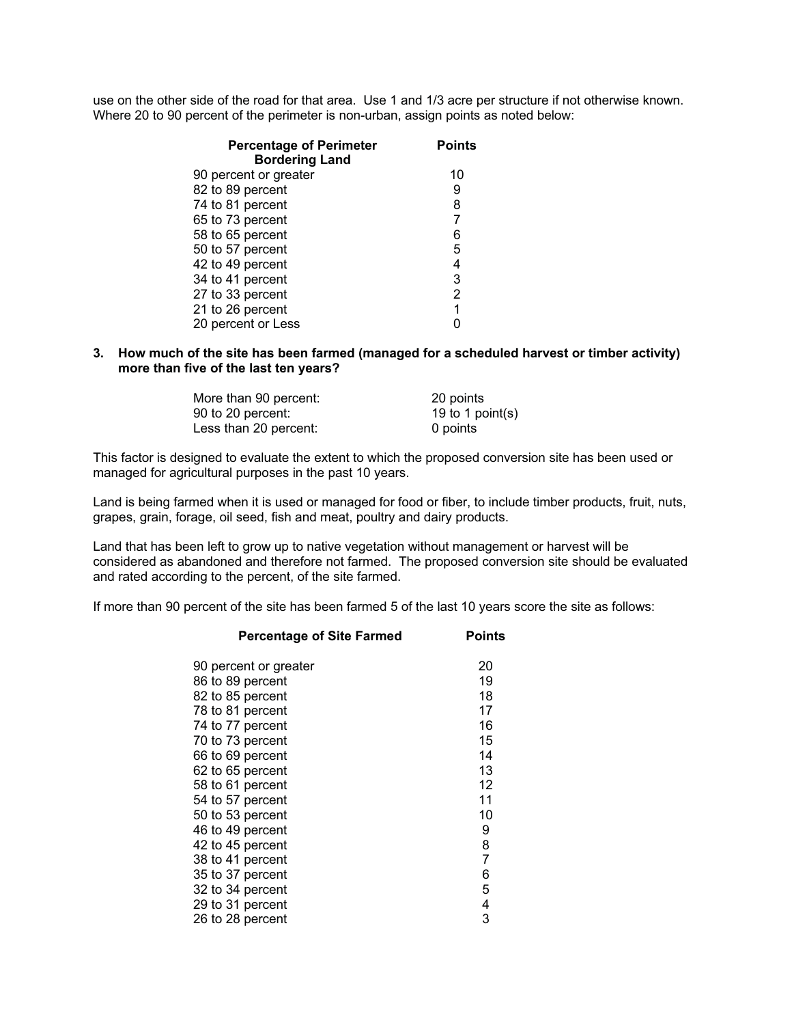use on the other side of the road for that area. Use 1 and 1/3 acre per structure if not otherwise known. Where 20 to 90 percent of the perimeter is non-urban, assign points as noted below:

| <b>Percentage of Perimeter</b><br><b>Bordering Land</b> | <b>Points</b>  |
|---------------------------------------------------------|----------------|
| 90 percent or greater                                   | 10             |
| 82 to 89 percent                                        | 9              |
| 74 to 81 percent                                        | 8              |
| 65 to 73 percent                                        | 7              |
| 58 to 65 percent                                        | 6              |
| 50 to 57 percent                                        | 5              |
| 42 to 49 percent                                        | 4              |
| 34 to 41 percent                                        | 3              |
| 27 to 33 percent                                        | $\overline{2}$ |
| 21 to 26 percent                                        | 1              |
| 20 percent or Less                                      |                |
|                                                         |                |

# **3. How much of the site has been farmed (managed for a scheduled harvest or timber activity) more than five of the last ten years?**

| More than 90 percent: | 20 points        |
|-----------------------|------------------|
| 90 to 20 percent:     | 19 to 1 point(s) |
| Less than 20 percent: | 0 points         |

This factor is designed to evaluate the extent to which the proposed conversion site has been used or managed for agricultural purposes in the past 10 years.

Land is being farmed when it is used or managed for food or fiber, to include timber products, fruit, nuts, grapes, grain, forage, oil seed, fish and meat, poultry and dairy products.

Land that has been left to grow up to native vegetation without management or harvest will be considered as abandoned and therefore not farmed. The proposed conversion site should be evaluated and rated according to the percent, of the site farmed.

If more than 90 percent of the site has been farmed 5 of the last 10 years score the site as follows:

| <b>Percentage of Site Farmed</b> | <b>Points</b> |
|----------------------------------|---------------|
| 90 percent or greater            | 20            |
| 86 to 89 percent                 | 19            |
| 82 to 85 percent                 | 18            |
| 78 to 81 percent                 | 17            |
| 74 to 77 percent                 | 16            |
| 70 to 73 percent                 | 15            |
| 66 to 69 percent                 | 14            |
| 62 to 65 percent                 | 13            |
| 58 to 61 percent                 | 12            |
| 54 to 57 percent                 | 11            |
| 50 to 53 percent                 | 10            |
| 46 to 49 percent                 | 9             |
| 42 to 45 percent                 | 8             |
| 38 to 41 percent                 | 7             |
| 35 to 37 percent                 | 6             |
| 32 to 34 percent                 | 5             |
| 29 to 31 percent                 | $\frac{4}{3}$ |
| 26 to 28 percent                 |               |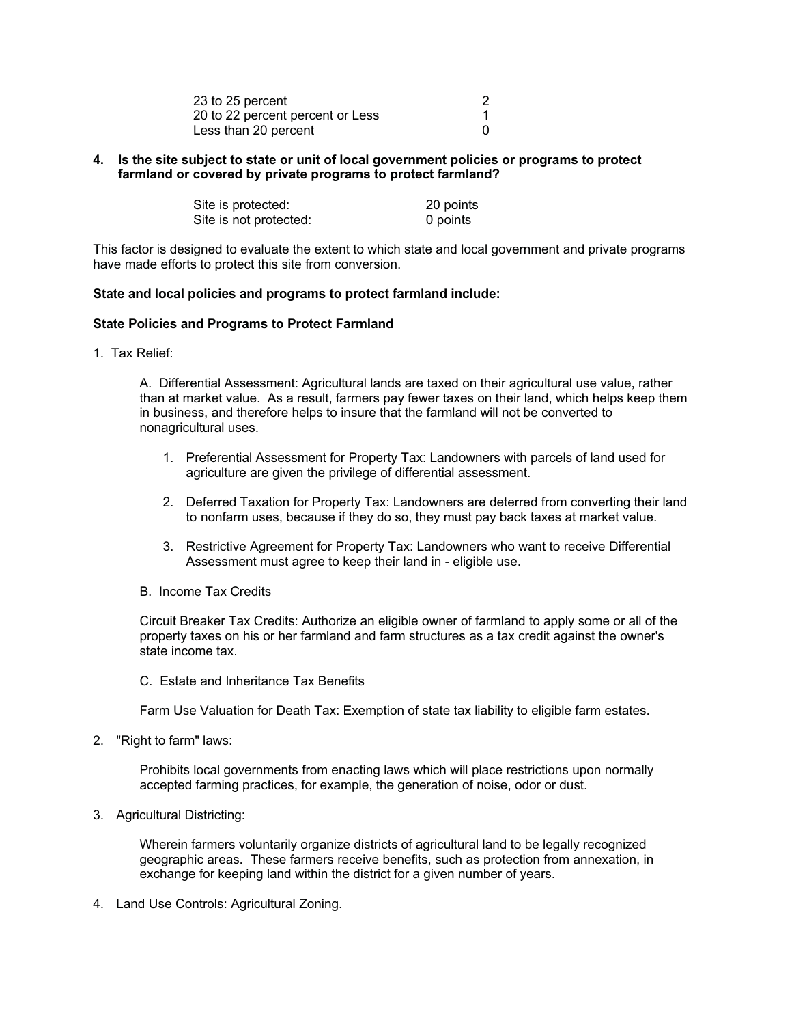| 23 to 25 percent                 |  |
|----------------------------------|--|
| 20 to 22 percent percent or Less |  |
| Less than 20 percent             |  |

# **4. Is the site subject to state or unit of local government policies or programs to protect farmland or covered by private programs to protect farmland?**

| Site is protected:     | 20 points |
|------------------------|-----------|
| Site is not protected: | 0 points  |

This factor is designed to evaluate the extent to which state and local government and private programs have made efforts to protect this site from conversion.

#### **State and local policies and programs to protect farmland include:**

#### **State Policies and Programs to Protect Farmland**

1. Tax Relief:

A. Differential Assessment: Agricultural lands are taxed on their agricultural use value, rather than at market value. As a result, farmers pay fewer taxes on their land, which helps keep them in business, and therefore helps to insure that the farmland will not be converted to nonagricultural uses.

- 1. Preferential Assessment for Property Tax: Landowners with parcels of land used for agriculture are given the privilege of differential assessment.
- 2. Deferred Taxation for Property Tax: Landowners are deterred from converting their land to nonfarm uses, because if they do so, they must pay back taxes at market value.
- 3. Restrictive Agreement for Property Tax: Landowners who want to receive Differential Assessment must agree to keep their land in - eligible use.
- B. Income Tax Credits

Circuit Breaker Tax Credits: Authorize an eligible owner of farmland to apply some or all of the property taxes on his or her farmland and farm structures as a tax credit against the owner's state income tax.

C. Estate and Inheritance Tax Benefits

Farm Use Valuation for Death Tax: Exemption of state tax liability to eligible farm estates.

2. "Right to farm" laws:

Prohibits local governments from enacting laws which will place restrictions upon normally accepted farming practices, for example, the generation of noise, odor or dust.

3. Agricultural Districting:

Wherein farmers voluntarily organize districts of agricultural land to be legally recognized geographic areas. These farmers receive benefits, such as protection from annexation, in exchange for keeping land within the district for a given number of years.

4. Land Use Controls: Agricultural Zoning.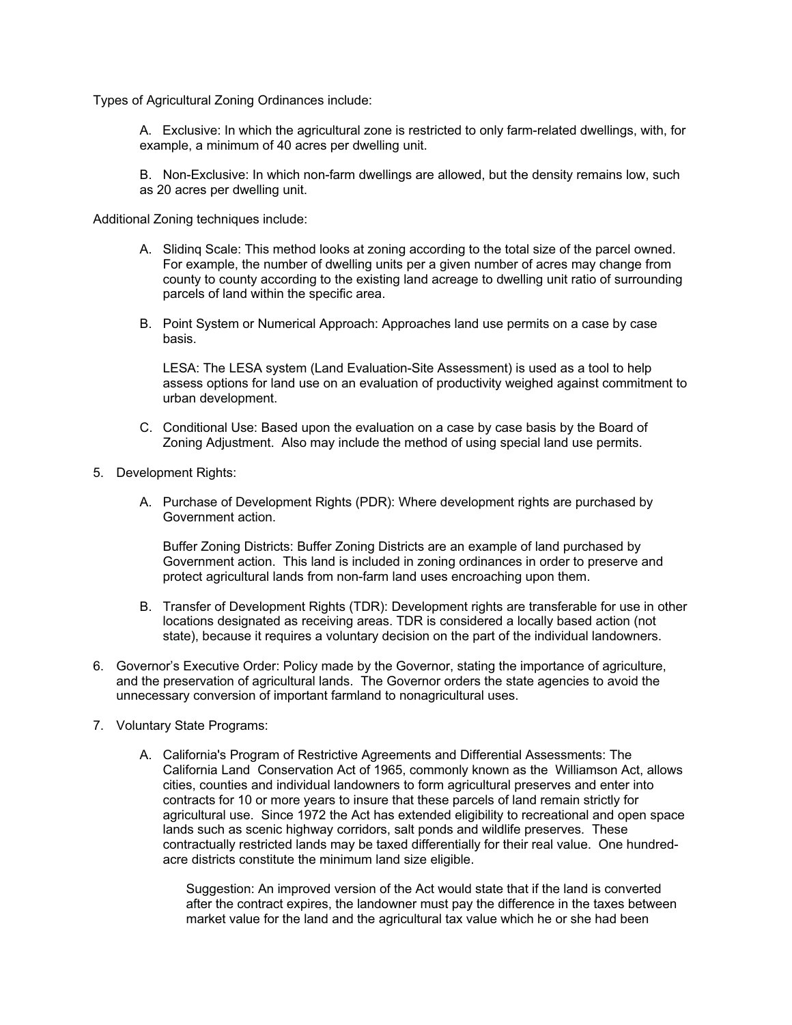Types of Agricultural Zoning Ordinances include:

A. Exclusive: In which the agricultural zone is restricted to only farm-related dwellings, with, for example, a minimum of 40 acres per dwelling unit.

B. Non-Exclusive: In which non-farm dwellings are allowed, but the density remains low, such as 20 acres per dwelling unit.

Additional Zoning techniques include:

- A. Slidinq Scale: This method looks at zoning according to the total size of the parcel owned. For example, the number of dwelling units per a given number of acres may change from county to county according to the existing land acreage to dwelling unit ratio of surrounding parcels of land within the specific area.
- B. Point System or Numerical Approach: Approaches land use permits on a case by case basis.

LESA: The LESA system (Land Evaluation-Site Assessment) is used as a tool to help assess options for land use on an evaluation of productivity weighed against commitment to urban development.

- C. Conditional Use: Based upon the evaluation on a case by case basis by the Board of Zoning Adjustment. Also may include the method of using special land use permits.
- 5. Development Rights:
	- A. Purchase of Development Rights (PDR): Where development rights are purchased by Government action.

Buffer Zoning Districts: Buffer Zoning Districts are an example of land purchased by Government action. This land is included in zoning ordinances in order to preserve and protect agricultural lands from non-farm land uses encroaching upon them.

- B. Transfer of Development Rights (TDR): Development rights are transferable for use in other locations designated as receiving areas. TDR is considered a locally based action (not state), because it requires a voluntary decision on the part of the individual landowners.
- 6. Governor's Executive Order: Policy made by the Governor, stating the importance of agriculture, and the preservation of agricultural lands. The Governor orders the state agencies to avoid the unnecessary conversion of important farmland to nonagricultural uses.
- 7. Voluntary State Programs:
	- A. California's Program of Restrictive Agreements and Differential Assessments: The California Land Conservation Act of 1965, commonly known as the Williamson Act, allows cities, counties and individual landowners to form agricultural preserves and enter into contracts for 10 or more years to insure that these parcels of land remain strictly for agricultural use. Since 1972 the Act has extended eligibility to recreational and open space lands such as scenic highway corridors, salt ponds and wildlife preserves. These contractually restricted lands may be taxed differentially for their real value. One hundredacre districts constitute the minimum land size eligible.

Suggestion: An improved version of the Act would state that if the land is converted after the contract expires, the landowner must pay the difference in the taxes between market value for the land and the agricultural tax value which he or she had been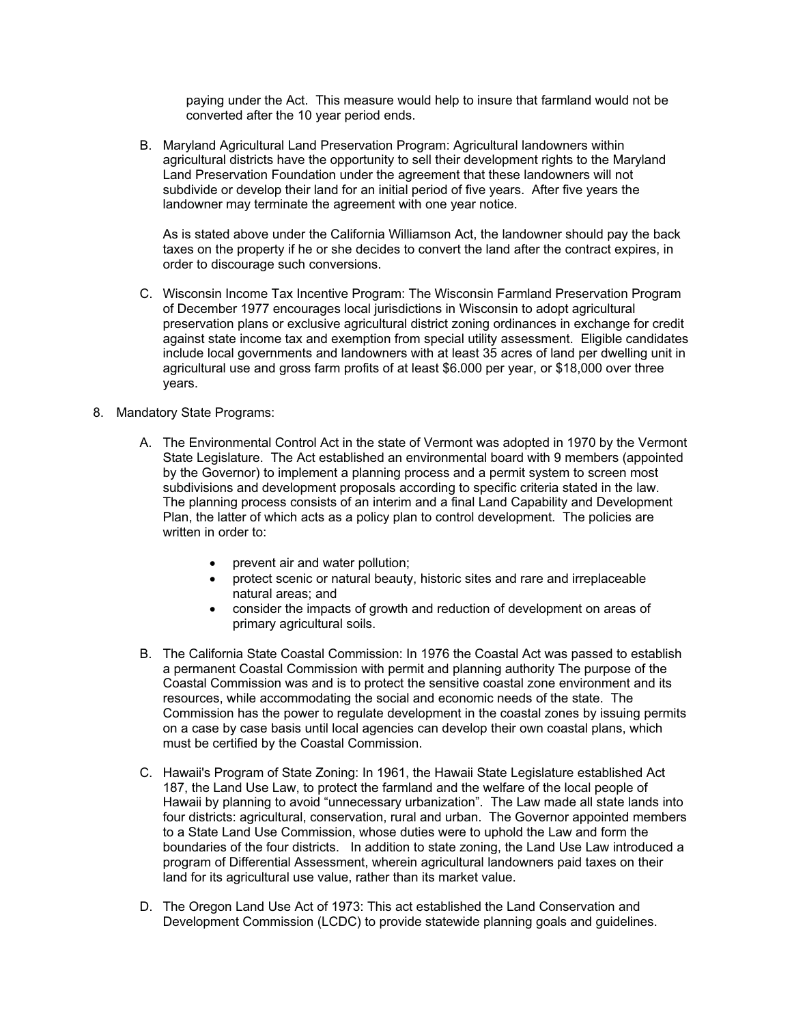paying under the Act. This measure would help to insure that farmland would not be converted after the 10 year period ends.

B. Maryland Agricultural Land Preservation Program: Agricultural landowners within agricultural districts have the opportunity to sell their development rights to the Maryland Land Preservation Foundation under the agreement that these landowners will not subdivide or develop their land for an initial period of five years. After five years the landowner may terminate the agreement with one year notice.

As is stated above under the California Williamson Act, the landowner should pay the back taxes on the property if he or she decides to convert the land after the contract expires, in order to discourage such conversions.

- C. Wisconsin Income Tax Incentive Program: The Wisconsin Farmland Preservation Program of December 1977 encourages local jurisdictions in Wisconsin to adopt agricultural preservation plans or exclusive agricultural district zoning ordinances in exchange for credit against state income tax and exemption from special utility assessment. Eligible candidates include local governments and landowners with at least 35 acres of land per dwelling unit in agricultural use and gross farm profits of at least \$6.000 per year, or \$18,000 over three years.
- 8. Mandatory State Programs:
	- A. The Environmental Control Act in the state of Vermont was adopted in 1970 by the Vermont State Legislature. The Act established an environmental board with 9 members (appointed by the Governor) to implement a planning process and a permit system to screen most subdivisions and development proposals according to specific criteria stated in the law. The planning process consists of an interim and a final Land Capability and Development Plan, the latter of which acts as a policy plan to control development. The policies are written in order to:
		- prevent air and water pollution;
		- protect scenic or natural beauty, historic sites and rare and irreplaceable natural areas; and
		- consider the impacts of growth and reduction of development on areas of primary agricultural soils.
	- B. The California State Coastal Commission: In 1976 the Coastal Act was passed to establish a permanent Coastal Commission with permit and planning authority The purpose of the Coastal Commission was and is to protect the sensitive coastal zone environment and its resources, while accommodating the social and economic needs of the state. The Commission has the power to regulate development in the coastal zones by issuing permits on a case by case basis until local agencies can develop their own coastal plans, which must be certified by the Coastal Commission.
	- C. Hawaii's Program of State Zoning: In 1961, the Hawaii State Legislature established Act 187, the Land Use Law, to protect the farmland and the welfare of the local people of Hawaii by planning to avoid "unnecessary urbanization". The Law made all state lands into four districts: agricultural, conservation, rural and urban. The Governor appointed members to a State Land Use Commission, whose duties were to uphold the Law and form the boundaries of the four districts. In addition to state zoning, the Land Use Law introduced a program of Differential Assessment, wherein agricultural landowners paid taxes on their land for its agricultural use value, rather than its market value.
	- D. The Oregon Land Use Act of 1973: This act established the Land Conservation and Development Commission (LCDC) to provide statewide planning goals and guidelines.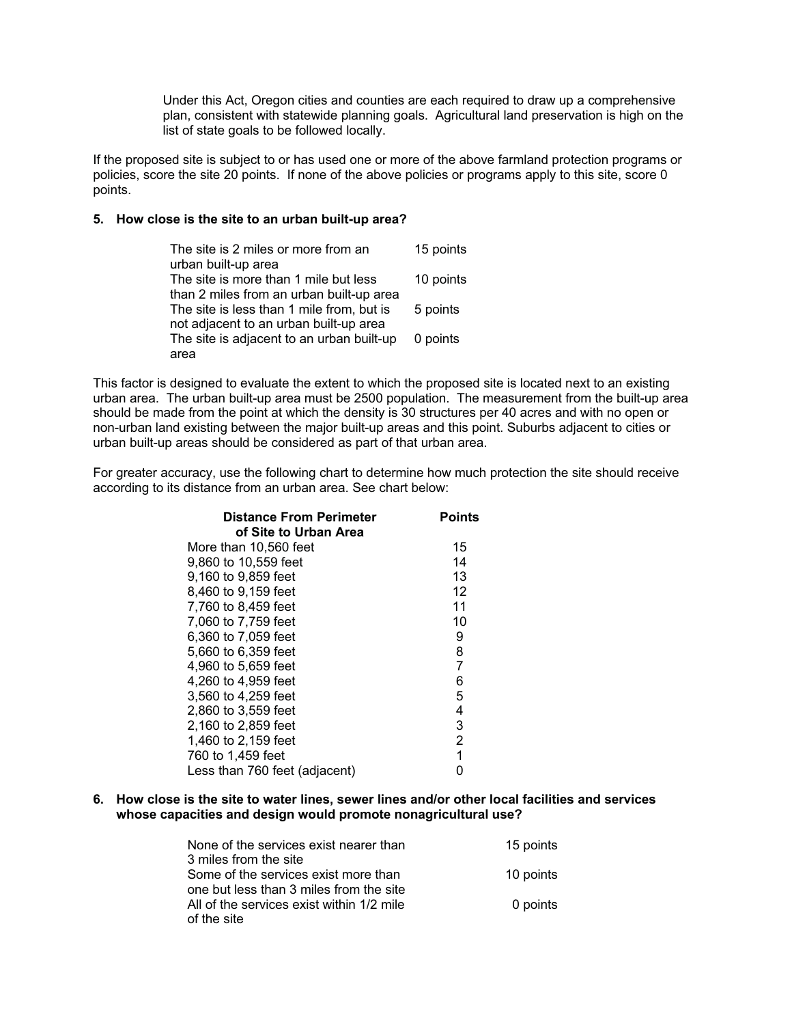Under this Act, Oregon cities and counties are each required to draw up a comprehensive plan, consistent with statewide planning goals. Agricultural land preservation is high on the list of state goals to be followed locally.

If the proposed site is subject to or has used one or more of the above farmland protection programs or policies, score the site 20 points. If none of the above policies or programs apply to this site, score 0 points.

#### **5. How close is the site to an urban built-up area?**

| The site is 2 miles or more from an       | 15 points |
|-------------------------------------------|-----------|
| urban built-up area                       |           |
| The site is more than 1 mile but less     | 10 points |
| than 2 miles from an urban built-up area  |           |
| The site is less than 1 mile from, but is | 5 points  |
| not adjacent to an urban built-up area    |           |
| The site is adjacent to an urban built-up | 0 points  |
| area                                      |           |

This factor is designed to evaluate the extent to which the proposed site is located next to an existing urban area. The urban built-up area must be 2500 population. The measurement from the built-up area should be made from the point at which the density is 30 structures per 40 acres and with no open or non-urban land existing between the major built-up areas and this point. Suburbs adjacent to cities or urban built-up areas should be considered as part of that urban area.

For greater accuracy, use the following chart to determine how much protection the site should receive according to its distance from an urban area. See chart below:

| <b>Distance From Perimeter</b><br>of Site to Urban Area | <b>Points</b>  |
|---------------------------------------------------------|----------------|
| More than 10.560 feet                                   | 15             |
| 9,860 to 10,559 feet                                    | 14             |
| 9,160 to 9,859 feet                                     | 13             |
| 8,460 to 9,159 feet                                     | 12             |
| 7,760 to 8,459 feet                                     | 11             |
| 7,060 to 7,759 feet                                     | 10             |
| 6,360 to 7,059 feet                                     | 9              |
| 5,660 to 6,359 feet                                     | 8              |
| 4,960 to 5,659 feet                                     | 7              |
| 4,260 to 4,959 feet                                     | 6              |
| 3,560 to 4,259 feet                                     | 5              |
| 2.860 to 3.559 feet                                     | 4              |
| 2,160 to 2,859 feet                                     | 3              |
| 1,460 to 2,159 feet                                     | $\overline{2}$ |
| 760 to 1,459 feet                                       | $\overline{1}$ |
| Less than 760 feet (adjacent)                           | N              |

**6. How close is the site to water lines, sewer lines and/or other local facilities and services whose capacities and design would promote nonagricultural use?**

| None of the services exist nearer than    | 15 points |
|-------------------------------------------|-----------|
| 3 miles from the site                     |           |
| Some of the services exist more than      | 10 points |
| one but less than 3 miles from the site   |           |
| All of the services exist within 1/2 mile | 0 points  |
| of the site                               |           |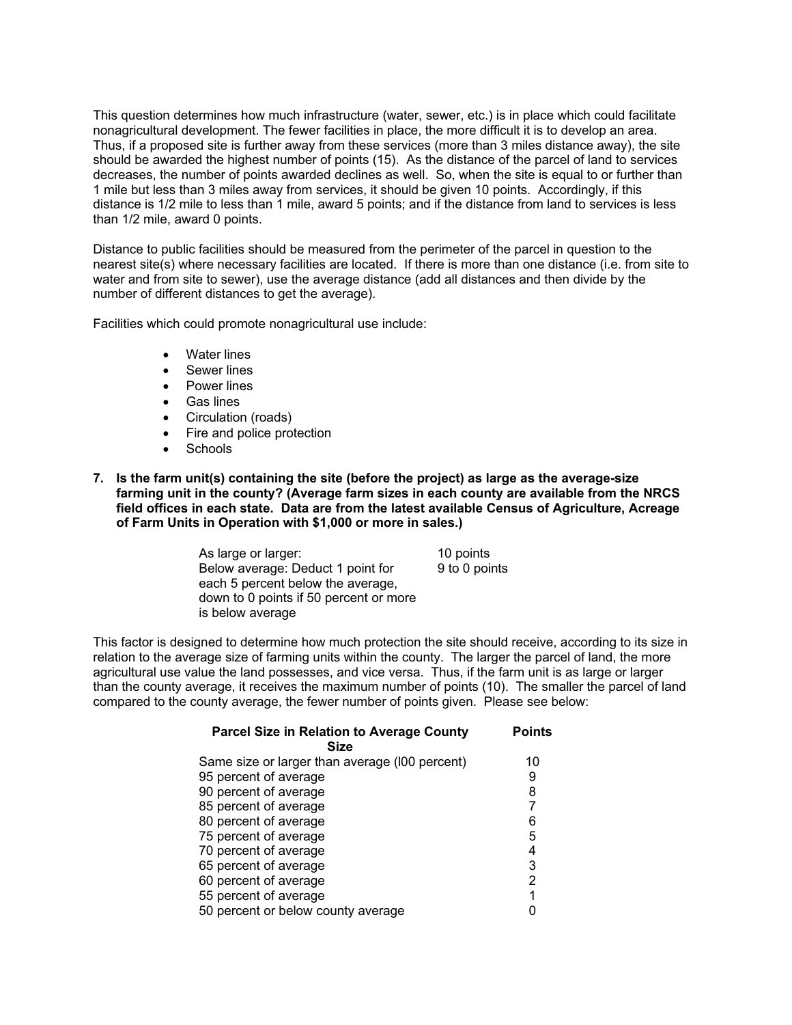This question determines how much infrastructure (water, sewer, etc.) is in place which could facilitate nonagricultural development. The fewer facilities in place, the more difficult it is to develop an area. Thus, if a proposed site is further away from these services (more than 3 miles distance away), the site should be awarded the highest number of points (15). As the distance of the parcel of land to services decreases, the number of points awarded declines as well. So, when the site is equal to or further than 1 mile but less than 3 miles away from services, it should be given 10 points. Accordingly, if this distance is 1/2 mile to less than 1 mile, award 5 points; and if the distance from land to services is less than 1/2 mile, award 0 points.

Distance to public facilities should be measured from the perimeter of the parcel in question to the nearest site(s) where necessary facilities are located. If there is more than one distance (i.e. from site to water and from site to sewer), use the average distance (add all distances and then divide by the number of different distances to get the average).

Facilities which could promote nonagricultural use include:

- Water lines
- Sewer lines
- Power lines
- Gas lines
- Circulation (roads)
- Fire and police protection
- Schools

**7. Is the farm unit(s) containing the site (before the project) as large as the average-size farming unit in the county? (Average farm sizes in each county are available from the NRCS field offices in each state. Data are from the latest available Census of Agriculture, Acreage of Farm Units in Operation with \$1,000 or more in sales.)**

> As large or larger: 10 points Below average: Deduct 1 point for each 5 percent below the average, down to 0 points if 50 percent or more is below average 9 to 0 points

This factor is designed to determine how much protection the site should receive, according to its size in relation to the average size of farming units within the county. The larger the parcel of land, the more agricultural use value the land possesses, and vice versa. Thus, if the farm unit is as large or larger than the county average, it receives the maximum number of points (10). The smaller the parcel of land compared to the county average, the fewer number of points given. Please see below:

| <b>Parcel Size in Relation to Average County</b><br><b>Size</b> | <b>Points</b> |
|-----------------------------------------------------------------|---------------|
|                                                                 |               |
| Same size or larger than average (I00 percent)                  | 10            |
| 95 percent of average                                           | 9             |
| 90 percent of average                                           | 8             |
| 85 percent of average                                           | 7             |
| 80 percent of average                                           | 6             |
| 75 percent of average                                           | 5             |
| 70 percent of average                                           | 4             |
| 65 percent of average                                           | 3             |
| 60 percent of average                                           | 2             |
| 55 percent of average                                           | 1             |
| 50 percent or below county average                              |               |
|                                                                 |               |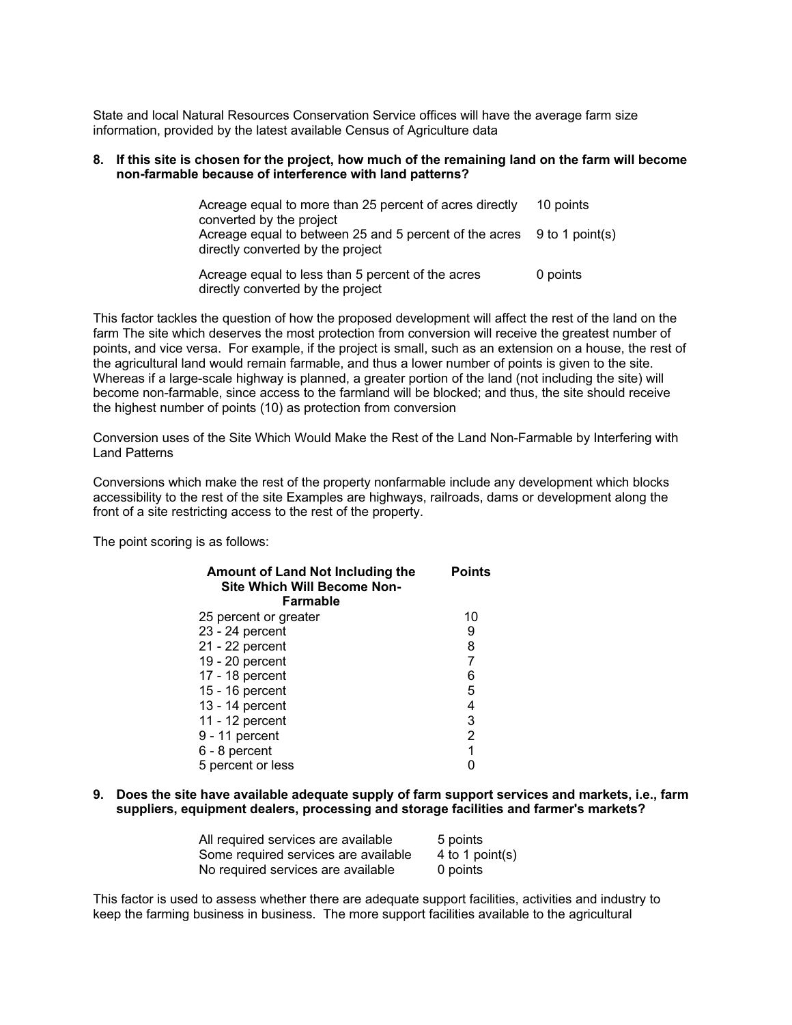State and local Natural Resources Conservation Service offices will have the average farm size information, provided by the latest available Census of Agriculture data

#### **8. If this site is chosen for the project, how much of the remaining land on the farm will become non-farmable because of interference with land patterns?**

| Acreage equal to more than 25 percent of acres directly                                                                                 | 10 points |
|-----------------------------------------------------------------------------------------------------------------------------------------|-----------|
| converted by the project<br>Acreage equal to between 25 and 5 percent of the acres 9 to 1 point(s)<br>directly converted by the project |           |
| Acreage equal to less than 5 percent of the acres<br>directly converted by the project                                                  | 0 points  |

This factor tackles the question of how the proposed development will affect the rest of the land on the farm The site which deserves the most protection from conversion will receive the greatest number of points, and vice versa. For example, if the project is small, such as an extension on a house, the rest of the agricultural land would remain farmable, and thus a lower number of points is given to the site. Whereas if a large-scale highway is planned, a greater portion of the land (not including the site) will become non-farmable, since access to the farmland will be blocked; and thus, the site should receive the highest number of points (10) as protection from conversion

Conversion uses of the Site Which Would Make the Rest of the Land Non-Farmable by Interfering with Land Patterns

Conversions which make the rest of the property nonfarmable include any development which blocks accessibility to the rest of the site Examples are highways, railroads, dams or development along the front of a site restricting access to the rest of the property.

The point scoring is as follows:

| <b>Amount of Land Not Including the</b><br><b>Site Which Will Become Non-</b> | <b>Points</b> |
|-------------------------------------------------------------------------------|---------------|
| Farmable                                                                      |               |
| 25 percent or greater                                                         | 10            |
| 23 - 24 percent                                                               | 9             |
| 21 - 22 percent                                                               | 8             |
| 19 - 20 percent                                                               |               |
| 17 - 18 percent                                                               | 6             |
| 15 - 16 percent                                                               | 5             |
| 13 - 14 percent                                                               | 4             |
| 11 - 12 percent                                                               | 3             |
| 9 - 11 percent                                                                | 2             |
| 6 - 8 percent                                                                 | 1             |
| 5 percent or less                                                             |               |

#### **9. Does the site have available adequate supply of farm support services and markets, i.e., farm suppliers, equipment dealers, processing and storage facilities and farmer's markets?**

| All required services are available  | 5 points        |
|--------------------------------------|-----------------|
| Some required services are available | 4 to 1 point(s) |
| No required services are available   | 0 points        |

This factor is used to assess whether there are adequate support facilities, activities and industry to keep the farming business in business. The more support facilities available to the agricultural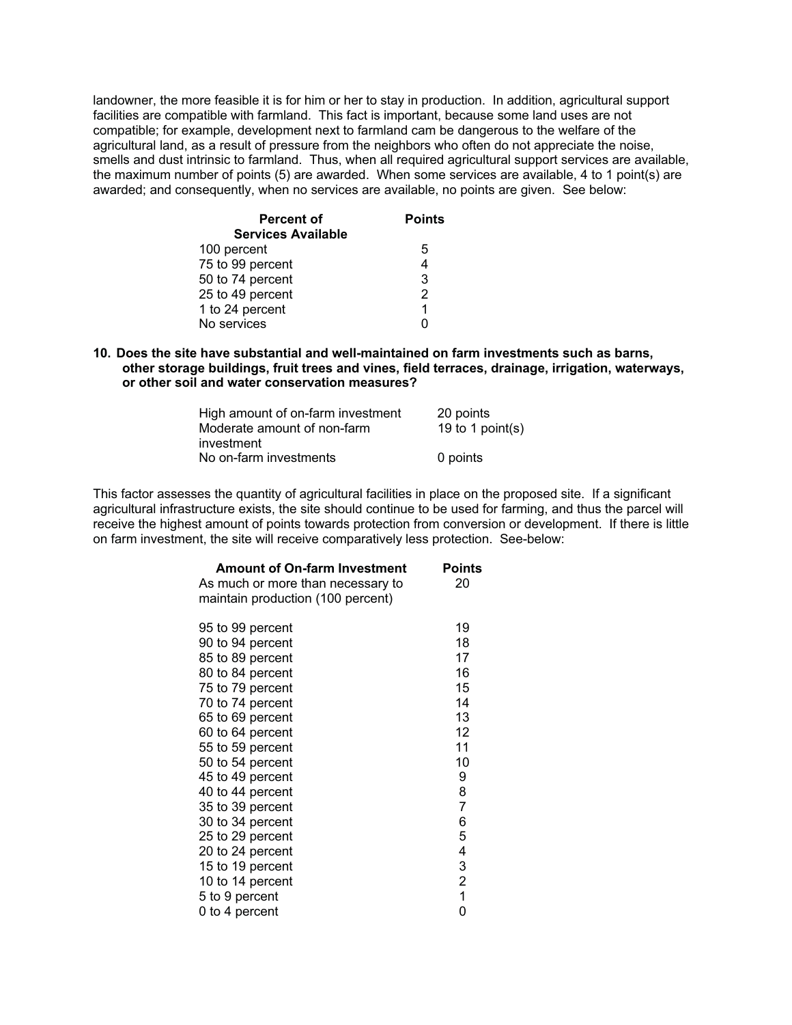landowner, the more feasible it is for him or her to stay in production. In addition, agricultural support facilities are compatible with farmland. This fact is important, because some land uses are not compatible; for example, development next to farmland cam be dangerous to the welfare of the agricultural land, as a result of pressure from the neighbors who often do not appreciate the noise, smells and dust intrinsic to farmland. Thus, when all required agricultural support services are available, the maximum number of points (5) are awarded. When some services are available, 4 to 1 point(s) are awarded; and consequently, when no services are available, no points are given. See below:

| <b>Percent of</b>         | <b>Points</b> |
|---------------------------|---------------|
| <b>Services Available</b> |               |
| 100 percent               | 5             |
| 75 to 99 percent          |               |
| 50 to 74 percent          | 3             |
| 25 to 49 percent          | 2             |
| 1 to 24 percent           | 1             |
| No services               |               |

**10. Does the site have substantial and well-maintained on farm investments such as barns, other storage buildings, fruit trees and vines, field terraces, drainage, irrigation, waterways, or other soil and water conservation measures?**

| High amount of on-farm investment | 20 points        |
|-----------------------------------|------------------|
| Moderate amount of non-farm       | 19 to 1 point(s) |
| investment                        |                  |
| No on-farm investments            | 0 points         |

This factor assesses the quantity of agricultural facilities in place on the proposed site. If a significant agricultural infrastructure exists, the site should continue to be used for farming, and thus the parcel will receive the highest amount of points towards protection from conversion or development. If there is little on farm investment, the site will receive comparatively less protection. See-below:

| <b>Amount of On-farm Investment</b> | Points         |
|-------------------------------------|----------------|
| As much or more than necessary to   | 20             |
| maintain production (100 percent)   |                |
|                                     |                |
| 95 to 99 percent                    | 19             |
| 90 to 94 percent                    | 18             |
| 85 to 89 percent                    | 17             |
| 80 to 84 percent                    | 16             |
| 75 to 79 percent                    | 15             |
| 70 to 74 percent                    | 14             |
| 65 to 69 percent                    | 13             |
| 60 to 64 percent                    | 12             |
| 55 to 59 percent                    | 11             |
| 50 to 54 percent                    | 10             |
| 45 to 49 percent                    | 9              |
| 40 to 44 percent                    | 8              |
| 35 to 39 percent                    | $\overline{7}$ |
| 30 to 34 percent                    | 6              |
| 25 to 29 percent                    | 5              |
| 20 to 24 percent                    | 4              |
| 15 to 19 percent                    | 3              |
| 10 to 14 percent                    | $\overline{2}$ |
| 5 to 9 percent                      | $\mathbf{1}$   |
| 0 to 4 percent                      | 0              |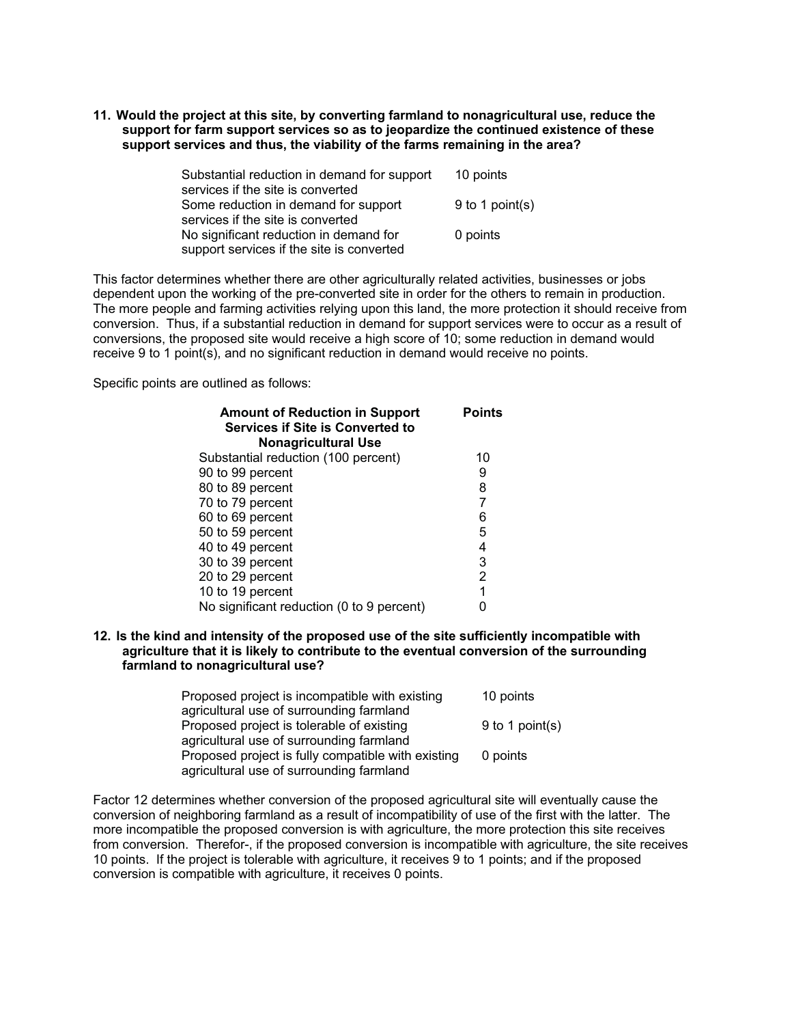**11. Would the project at this site, by converting farmland to nonagricultural use, reduce the support for farm support services so as to jeopardize the continued existence of these support services and thus, the viability of the farms remaining in the area?**

| Substantial reduction in demand for support | 10 points       |
|---------------------------------------------|-----------------|
| services if the site is converted           |                 |
| Some reduction in demand for support        | 9 to 1 point(s) |
| services if the site is converted           |                 |
| No significant reduction in demand for      | 0 points        |
| support services if the site is converted   |                 |

This factor determines whether there are other agriculturally related activities, businesses or jobs dependent upon the working of the pre-converted site in order for the others to remain in production. The more people and farming activities relying upon this land, the more protection it should receive from conversion. Thus, if a substantial reduction in demand for support services were to occur as a result of conversions, the proposed site would receive a high score of 10; some reduction in demand would receive 9 to 1 point(s), and no significant reduction in demand would receive no points.

Specific points are outlined as follows:

| <b>Amount of Reduction in Support</b><br><b>Services if Site is Converted to</b> | <b>Points</b>  |
|----------------------------------------------------------------------------------|----------------|
| <b>Nonagricultural Use</b>                                                       |                |
| Substantial reduction (100 percent)                                              | 10             |
| 90 to 99 percent                                                                 | 9              |
| 80 to 89 percent                                                                 | 8              |
| 70 to 79 percent                                                                 | 7              |
| 60 to 69 percent                                                                 | 6              |
| 50 to 59 percent                                                                 | 5              |
| 40 to 49 percent                                                                 | 4              |
| 30 to 39 percent                                                                 | 3              |
| 20 to 29 percent                                                                 | $\overline{2}$ |
| 10 to 19 percent                                                                 | 1              |
| No significant reduction (0 to 9 percent)                                        |                |

**12. Is the kind and intensity of the proposed use of the site sufficiently incompatible with agriculture that it is likely to contribute to the eventual conversion of the surrounding farmland to nonagricultural use?**

| Proposed project is incompatible with existing     | 10 points         |
|----------------------------------------------------|-------------------|
| agricultural use of surrounding farmland           |                   |
| Proposed project is tolerable of existing          | $9$ to 1 point(s) |
| agricultural use of surrounding farmland           |                   |
| Proposed project is fully compatible with existing | 0 points          |
| agricultural use of surrounding farmland           |                   |

Factor 12 determines whether conversion of the proposed agricultural site will eventually cause the conversion of neighboring farmland as a result of incompatibility of use of the first with the latter. The more incompatible the proposed conversion is with agriculture, the more protection this site receives from conversion. Therefor-, if the proposed conversion is incompatible with agriculture, the site receives 10 points. If the project is tolerable with agriculture, it receives 9 to 1 points; and if the proposed conversion is compatible with agriculture, it receives 0 points.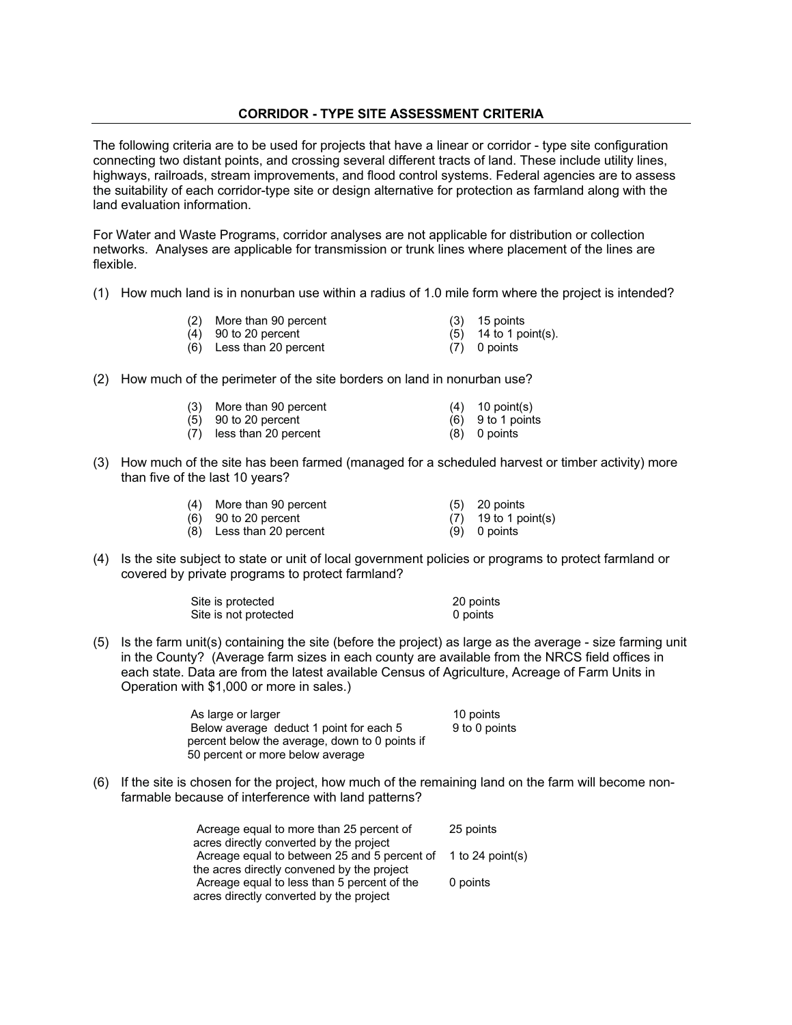# **CORRIDOR - TYPE SITE ASSESSMENT CRITERIA**

The following criteria are to be used for projects that have a linear or corridor - type site configuration connecting two distant points, and crossing several different tracts of land. These include utility lines, highways, railroads, stream improvements, and flood control systems. Federal agencies are to assess the suitability of each corridor-type site or design alternative for protection as farmland along with the land evaluation information.

For Water and Waste Programs, corridor analyses are not applicable for distribution or collection networks. Analyses are applicable for transmission or trunk lines where placement of the lines are flexible.

- (1) How much land is in nonurban use within a radius of 1.0 mile form where the project is intended?
	- (2) More than 90 percent (3) 15 points<br>
	(4) 90 to 20 percent (5) 14 to 1 point(s).
	- $(4)$  90 to 20 percent
	- (6) Less than 20 percent (7) 0 points
- 
- 
- (2) How much of the perimeter of the site borders on land in nonurban use?

|  | (3) More than 90 percent |  | $(4)$ 10 point(s) |
|--|--------------------------|--|-------------------|
|  |                          |  |                   |

- (5) 90 to 20 percent (6) 9 to 1 points
- (7) less than 20 percent (8) 0 points
- (3) How much of the site has been farmed (managed for a scheduled harvest or timber activity) more than five of the last 10 years?

| (4) More than 90 percent | $(5)$ 20 points        |
|--------------------------|------------------------|
| $(6)$ 90 to 20 percent   | $(7)$ 19 to 1 point(s) |
| (8) Less than 20 percent | $(9)$ 0 points         |

(4) Is the site subject to state or unit of local government policies or programs to protect farmland or covered by private programs to protect farmland?

| Site is protected     | 20 points |
|-----------------------|-----------|
| Site is not protected | 0 points  |

(5) Is the farm unit(s) containing the site (before the project) as large as the average - size farming unit in the County? (Average farm sizes in each county are available from the NRCS field offices in each state. Data are from the latest available Census of Agriculture, Acreage of Farm Units in Operation with \$1,000 or more in sales.)

> As large or larger 10 points Below average deduct 1 point for each 5 percent below the average, down to 0 points if 50 percent or more below average 9 to 0 points

(6) If the site is chosen for the project, how much of the remaining land on the farm will become nonfarmable because of interference with land patterns?

| Acreage equal to more than 25 percent of     | 25 points        |
|----------------------------------------------|------------------|
| acres directly converted by the project      |                  |
| Acreage equal to between 25 and 5 percent of | 1 to 24 point(s) |
| the acres directly convened by the project   |                  |
| Acreage equal to less than 5 percent of the  | 0 points         |
| acres directly converted by the project      |                  |